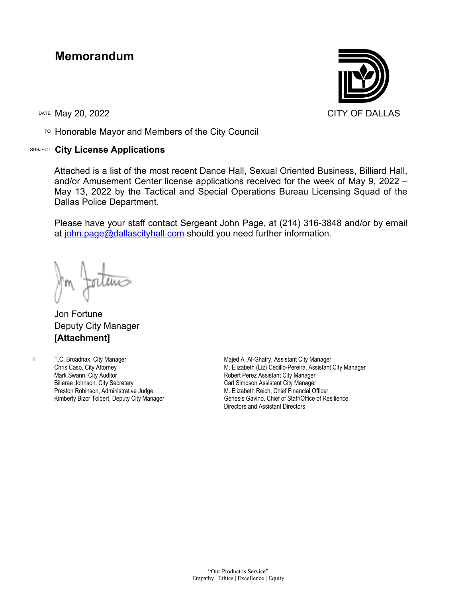## **Memorandum**

TO Honorable Mayor and Members of the City Council

## SUBJECT **City License Applications**



Attached is a list of the most recent Dance Hall, Sexual Oriented Business, Billiard Hall, and/or Amusement Center license applications received for the week of May 9, 2022 – May 13, 2022 by the Tactical and Special Operations Bureau Licensing Squad of the Dallas Police Department.

Please have your staff contact Sergeant John Page, at (214) 316-3848 and/or by email at [john.page@dallascityhall.com](mailto:john.page@dallascityhall.com) should you need further information.

Jon Fortune Deputy City Manager **[Attachment]**

c: T.C. Broadnax, City Manager Chris Caso, City Attorney Mark Swann, City Auditor Bilierae Johnson, City Secretary Preston Robinson, Administrative Judge Kimberly Bizor Tolbert, Deputy City Manager

Majed A. Al-Ghafry, Assistant City Manager M. Elizabeth (Liz) Cedillo-Pereira, Assistant City Manager Robert Perez Assistant City Manager Carl Simpson Assistant City Manager M. Elizabeth Reich, Chief Financial Officer Genesis Gavino, Chief of Staff/Office of Resilience Directors and Assistant Directors